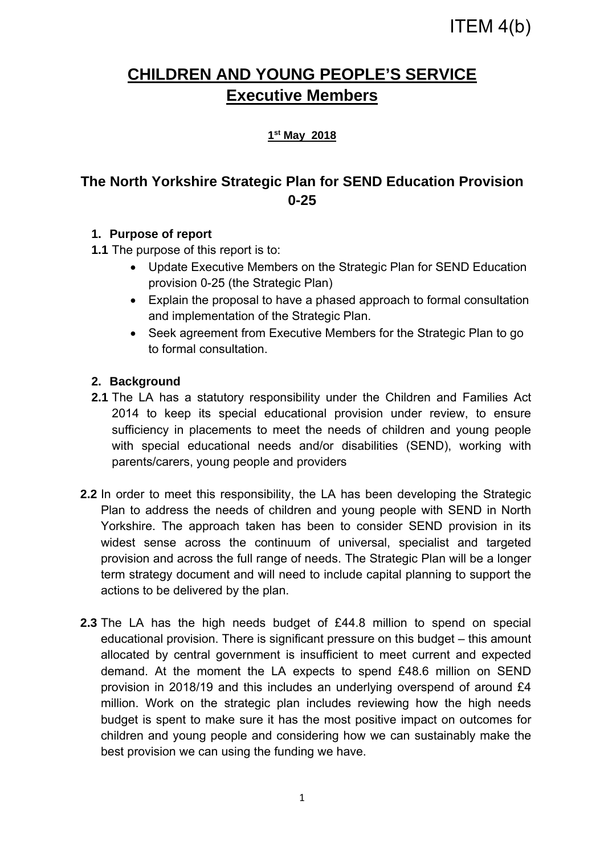# **CHILDREN AND YOUNG PEOPLE'S SERVICE Executive Members**

#### **1st May 2018**

## **The North Yorkshire Strategic Plan for SEND Education Provision 0-25**

#### **1. Purpose of report**

**1.1** The purpose of this report is to:

- Update Executive Members on the Strategic Plan for SEND Education provision 0-25 (the Strategic Plan)
- Explain the proposal to have a phased approach to formal consultation and implementation of the Strategic Plan.
- Seek agreement from Executive Members for the Strategic Plan to go to formal consultation.

#### **2. Background**

- **2.1** The LA has a statutory responsibility under the Children and Families Act 2014 to keep its special educational provision under review, to ensure sufficiency in placements to meet the needs of children and young people with special educational needs and/or disabilities (SEND), working with parents/carers, young people and providers
- **2.2** In order to meet this responsibility, the LA has been developing the Strategic Plan to address the needs of children and young people with SEND in North Yorkshire. The approach taken has been to consider SEND provision in its widest sense across the continuum of universal, specialist and targeted provision and across the full range of needs. The Strategic Plan will be a longer term strategy document and will need to include capital planning to support the actions to be delivered by the plan.
- **2.3** The LA has the high needs budget of £44.8 million to spend on special educational provision. There is significant pressure on this budget – this amount allocated by central government is insufficient to meet current and expected demand. At the moment the LA expects to spend £48.6 million on SEND provision in 2018/19 and this includes an underlying overspend of around £4 million. Work on the strategic plan includes reviewing how the high needs budget is spent to make sure it has the most positive impact on outcomes for children and young people and considering how we can sustainably make the best provision we can using the funding we have.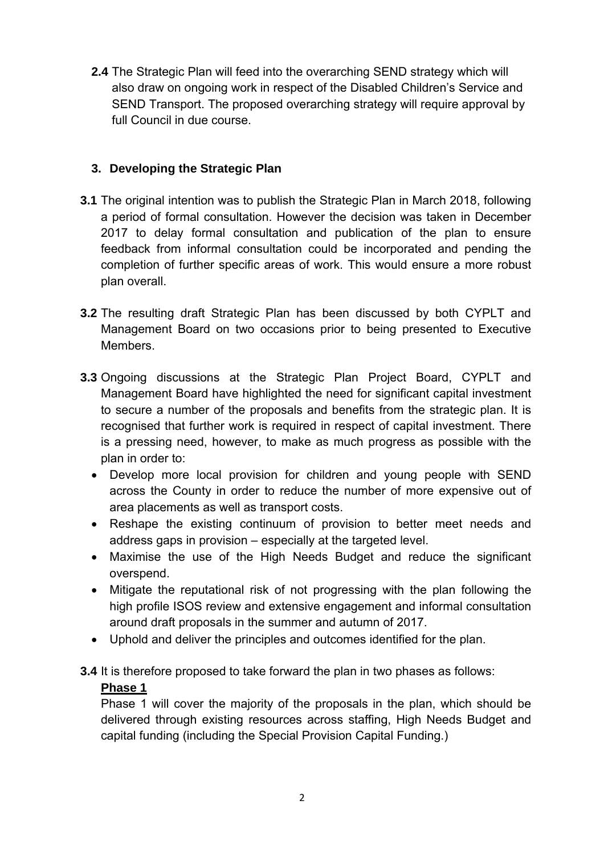**2.4** The Strategic Plan will feed into the overarching SEND strategy which will also draw on ongoing work in respect of the Disabled Children's Service and SEND Transport. The proposed overarching strategy will require approval by full Council in due course.

#### **3. Developing the Strategic Plan**

- **3.1** The original intention was to publish the Strategic Plan in March 2018, following a period of formal consultation. However the decision was taken in December 2017 to delay formal consultation and publication of the plan to ensure feedback from informal consultation could be incorporated and pending the completion of further specific areas of work. This would ensure a more robust plan overall.
- **3.2** The resulting draft Strategic Plan has been discussed by both CYPLT and Management Board on two occasions prior to being presented to Executive Members.
- **3.3** Ongoing discussions at the Strategic Plan Project Board, CYPLT and Management Board have highlighted the need for significant capital investment to secure a number of the proposals and benefits from the strategic plan. It is recognised that further work is required in respect of capital investment. There is a pressing need, however, to make as much progress as possible with the plan in order to:
	- Develop more local provision for children and young people with SEND across the County in order to reduce the number of more expensive out of area placements as well as transport costs.
	- Reshape the existing continuum of provision to better meet needs and address gaps in provision – especially at the targeted level.
	- Maximise the use of the High Needs Budget and reduce the significant overspend.
	- Mitigate the reputational risk of not progressing with the plan following the high profile ISOS review and extensive engagement and informal consultation around draft proposals in the summer and autumn of 2017.
	- Uphold and deliver the principles and outcomes identified for the plan.
- **3.4** It is therefore proposed to take forward the plan in two phases as follows:

#### **Phase 1**

Phase 1 will cover the majority of the proposals in the plan, which should be delivered through existing resources across staffing, High Needs Budget and capital funding (including the Special Provision Capital Funding.)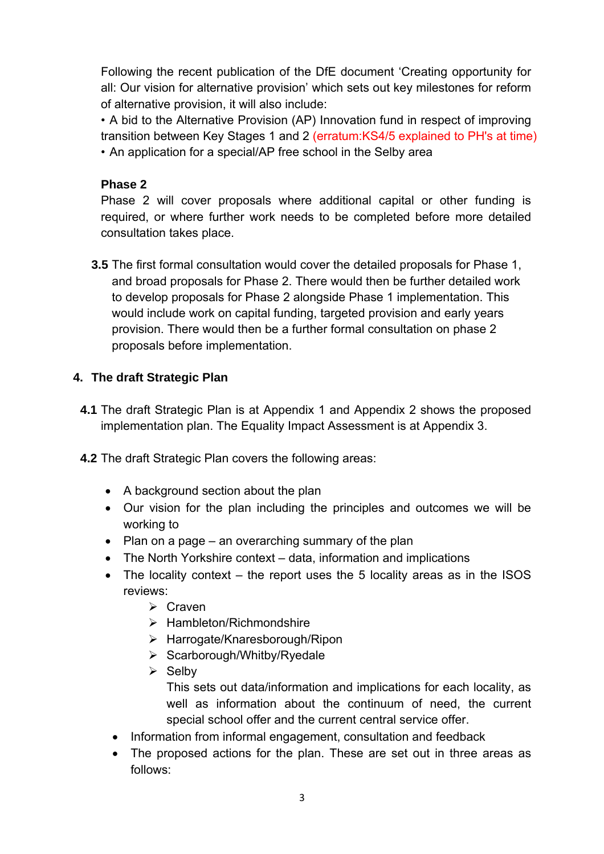Following the recent publication of the DfE document 'Creating opportunity for all: Our vision for alternative provision' which sets out key milestones for reform of alternative provision, it will also include:

• A bid to the Alternative Provision (AP) Innovation fund in respect of improving transition between Key Stages 1 and 2 (erratum:KS4/5 explained to PH's at time)

• An application for a special/AP free school in the Selby area

## **Phase 2**

Phase 2 will cover proposals where additional capital or other funding is required, or where further work needs to be completed before more detailed consultation takes place.

**3.5** The first formal consultation would cover the detailed proposals for Phase 1, and broad proposals for Phase 2. There would then be further detailed work to develop proposals for Phase 2 alongside Phase 1 implementation. This would include work on capital funding, targeted provision and early years provision. There would then be a further formal consultation on phase 2 proposals before implementation.

## **4. The draft Strategic Plan**

- **4.1** The draft Strategic Plan is at Appendix 1 and Appendix 2 shows the proposed implementation plan. The Equality Impact Assessment is at Appendix 3.
- **4.2** The draft Strategic Plan covers the following areas:
	- A background section about the plan
	- Our vision for the plan including the principles and outcomes we will be working to
	- Plan on a page an overarching summary of the plan
	- The North Yorkshire context data, information and implications
	- The locality context the report uses the 5 locality areas as in the ISOS reviews:
		- $\triangleright$  Craven
		- $\triangleright$  Hambleton/Richmondshire
		- Harrogate/Knaresborough/Ripon
		- $\triangleright$  Scarborough/Whitby/Ryedale
		- $\triangleright$  Selbv This sets out data/information and implications for each locality, as well as information about the continuum of need, the current special school offer and the current central service offer.
		- Information from informal engagement, consultation and feedback
		- The proposed actions for the plan. These are set out in three areas as follows: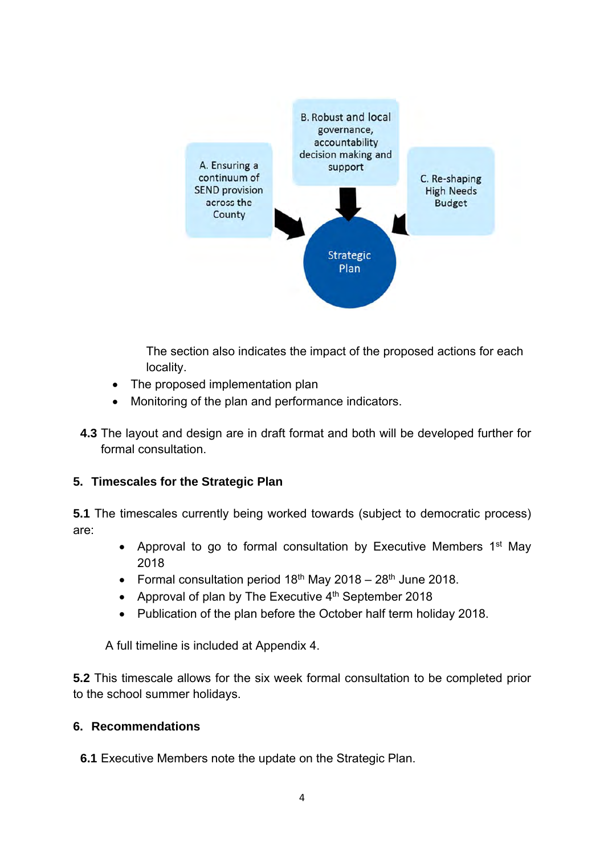

The section also indicates the impact of the proposed actions for each locality.

- The proposed implementation plan
- Monitoring of the plan and performance indicators.
- **4.3** The layout and design are in draft format and both will be developed further for formal consultation.

#### **5. Timescales for the Strategic Plan**

**5.1** The timescales currently being worked towards (subject to democratic process) are:

- Approval to go to formal consultation by Executive Members  $1<sup>st</sup>$  May 2018
- Formal consultation period  $18<sup>th</sup>$  May 2018 28<sup>th</sup> June 2018.
- Approval of plan by The Executive  $4<sup>th</sup>$  September 2018
- Publication of the plan before the October half term holiday 2018.

A full timeline is included at Appendix 4.

**5.2** This timescale allows for the six week formal consultation to be completed prior to the school summer holidays.

#### **6. Recommendations**

**6.1** Executive Members note the update on the Strategic Plan.